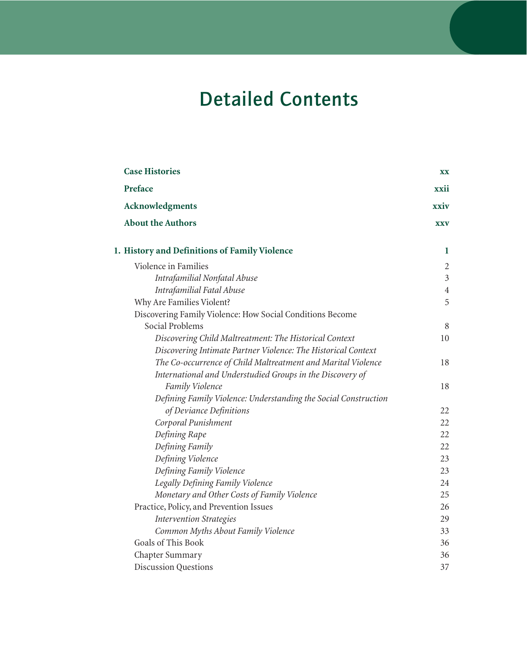## Detailed Contents

| <b>Case Histories</b>                                           | XX             |
|-----------------------------------------------------------------|----------------|
| Preface                                                         | xxii           |
| Acknowledgments                                                 | xxiv           |
| <b>About the Authors</b>                                        | <b>XXV</b>     |
| 1. History and Definitions of Family Violence                   | 1              |
| Violence in Families                                            | $\overline{2}$ |
| Intrafamilial Nonfatal Abuse                                    | $\mathfrak{Z}$ |
| Intrafamilial Fatal Abuse                                       | $\overline{4}$ |
| Why Are Families Violent?                                       | 5              |
| Discovering Family Violence: How Social Conditions Become       |                |
| Social Problems                                                 | 8              |
| Discovering Child Maltreatment: The Historical Context          | 10             |
| Discovering Intimate Partner Violence: The Historical Context   |                |
| The Co-occurrence of Child Maltreatment and Marital Violence    | 18             |
| International and Understudied Groups in the Discovery of       |                |
| Family Violence                                                 | 18             |
| Defining Family Violence: Understanding the Social Construction |                |
| of Deviance Definitions                                         | 22             |
| Corporal Punishment                                             | 22             |
| Defining Rape                                                   | 22             |
| Defining Family                                                 | 22             |
| Defining Violence                                               | 23             |
| Defining Family Violence                                        | 23             |
| Legally Defining Family Violence                                | 24             |
| Monetary and Other Costs of Family Violence                     | 25             |
| Practice, Policy, and Prevention Issues                         | 26             |
| <b>Intervention Strategies</b>                                  | 29             |
| Common Myths About Family Violence                              | 33             |
| <b>Goals of This Book</b>                                       | 36             |
| Chapter Summary                                                 | 36             |
| <b>Discussion Questions</b>                                     | 37             |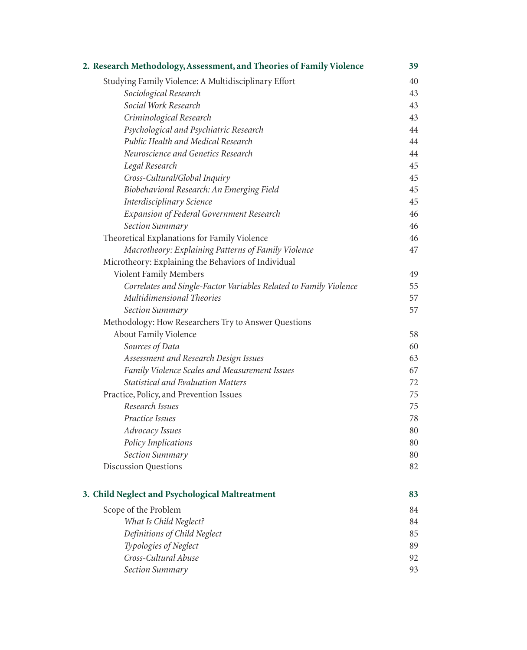| 2. Research Methodology, Assessment, and Theories of Family Violence | 39 |
|----------------------------------------------------------------------|----|
| Studying Family Violence: A Multidisciplinary Effort                 | 40 |
| Sociological Research                                                | 43 |
| Social Work Research                                                 | 43 |
| Criminological Research                                              | 43 |
| Psychological and Psychiatric Research                               | 44 |
| Public Health and Medical Research                                   | 44 |
| Neuroscience and Genetics Research                                   | 44 |
| Legal Research                                                       | 45 |
| Cross-Cultural/Global Inquiry                                        | 45 |
| Biobehavioral Research: An Emerging Field                            | 45 |
| Interdisciplinary Science                                            | 45 |
| <b>Expansion of Federal Government Research</b>                      | 46 |
| Section Summary                                                      | 46 |
| Theoretical Explanations for Family Violence                         | 46 |
| Macrotheory: Explaining Patterns of Family Violence                  | 47 |
| Microtheory: Explaining the Behaviors of Individual                  |    |
| Violent Family Members                                               | 49 |
| Correlates and Single-Factor Variables Related to Family Violence    | 55 |
| Multidimensional Theories                                            | 57 |
| Section Summary                                                      | 57 |
| Methodology: How Researchers Try to Answer Questions                 |    |
| About Family Violence                                                | 58 |
| Sources of Data                                                      | 60 |
| Assessment and Research Design Issues                                | 63 |
| Family Violence Scales and Measurement Issues                        | 67 |
| <b>Statistical and Evaluation Matters</b>                            | 72 |
| Practice, Policy, and Prevention Issues                              | 75 |
| Research Issues                                                      | 75 |
| Practice Issues                                                      | 78 |
| Advocacy Issues                                                      | 80 |
| Policy Implications                                                  | 80 |
| Section Summary                                                      | 80 |
| <b>Discussion Questions</b>                                          | 82 |
| 3. Child Neglect and Psychological Maltreatment                      | 83 |
| Scope of the Problem                                                 | 84 |
| What Is Child Neglect?                                               | 84 |
| Definitions of Child Neglect                                         | 85 |
| Typologies of Neglect                                                | 89 |
| Cross-Cultural Abuse                                                 | 92 |
| Section Summary                                                      | 93 |
|                                                                      |    |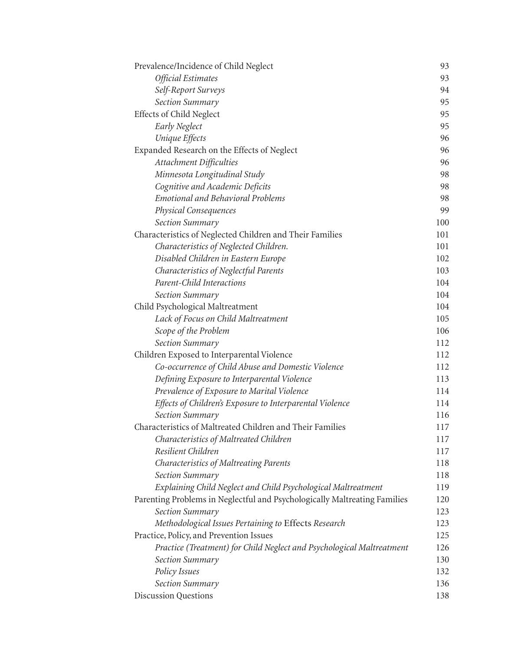| Prevalence/Incidence of Child Neglect                                     | 93  |
|---------------------------------------------------------------------------|-----|
| Official Estimates                                                        | 93  |
| Self-Report Surveys                                                       | 94  |
| Section Summary                                                           | 95  |
| <b>Effects of Child Neglect</b>                                           | 95  |
| <b>Early Neglect</b>                                                      | 95  |
| Unique Effects                                                            | 96  |
| Expanded Research on the Effects of Neglect                               | 96  |
| Attachment Difficulties                                                   | 96  |
| Minnesota Longitudinal Study                                              | 98  |
| Cognitive and Academic Deficits                                           | 98  |
| <b>Emotional and Behavioral Problems</b>                                  | 98  |
| Physical Consequences                                                     | 99  |
| Section Summary                                                           | 100 |
| Characteristics of Neglected Children and Their Families                  | 101 |
| Characteristics of Neglected Children.                                    | 101 |
| Disabled Children in Eastern Europe                                       | 102 |
| Characteristics of Neglectful Parents                                     | 103 |
| Parent-Child Interactions                                                 | 104 |
| Section Summary                                                           | 104 |
| Child Psychological Maltreatment                                          | 104 |
| Lack of Focus on Child Maltreatment                                       | 105 |
| Scope of the Problem                                                      | 106 |
| Section Summary                                                           | 112 |
| Children Exposed to Interparental Violence                                | 112 |
| Co-occurrence of Child Abuse and Domestic Violence                        | 112 |
| Defining Exposure to Interparental Violence                               | 113 |
| Prevalence of Exposure to Marital Violence                                | 114 |
| Effects of Children's Exposure to Interparental Violence                  | 114 |
| Section Summary                                                           | 116 |
| Characteristics of Maltreated Children and Their Families                 | 117 |
| Characteristics of Maltreated Children                                    | 117 |
| Resilient Children                                                        | 117 |
| Characteristics of Maltreating Parents                                    | 118 |
| Section Summary                                                           | 118 |
| Explaining Child Neglect and Child Psychological Maltreatment             | 119 |
| Parenting Problems in Neglectful and Psychologically Maltreating Families | 120 |
| Section Summary                                                           | 123 |
| Methodological Issues Pertaining to Effects Research                      | 123 |
| Practice, Policy, and Prevention Issues                                   | 125 |
| Practice (Treatment) for Child Neglect and Psychological Maltreatment     | 126 |
| Section Summary                                                           | 130 |
| Policy Issues                                                             | 132 |
| Section Summary                                                           | 136 |
| <b>Discussion Questions</b>                                               | 138 |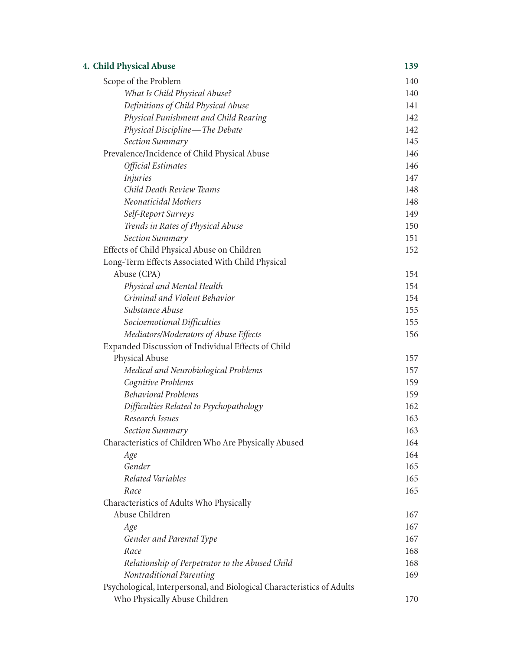| 4. Child Physical Abuse                                                | 139 |
|------------------------------------------------------------------------|-----|
| Scope of the Problem                                                   | 140 |
| What Is Child Physical Abuse?                                          | 140 |
| Definitions of Child Physical Abuse                                    | 141 |
| Physical Punishment and Child Rearing                                  | 142 |
| Physical Discipline-The Debate                                         | 142 |
| Section Summary                                                        | 145 |
| Prevalence/Incidence of Child Physical Abuse                           | 146 |
| Official Estimates                                                     | 146 |
| <i>Injuries</i>                                                        | 147 |
| Child Death Review Teams                                               | 148 |
| Neonaticidal Mothers                                                   | 148 |
| Self-Report Surveys                                                    | 149 |
| Trends in Rates of Physical Abuse                                      | 150 |
| Section Summary                                                        | 151 |
| Effects of Child Physical Abuse on Children                            | 152 |
| Long-Term Effects Associated With Child Physical                       |     |
| Abuse (CPA)                                                            | 154 |
| Physical and Mental Health                                             | 154 |
| Criminal and Violent Behavior                                          | 154 |
| Substance Abuse                                                        | 155 |
| Socioemotional Difficulties                                            | 155 |
| Mediators/Moderators of Abuse Effects                                  | 156 |
| Expanded Discussion of Individual Effects of Child                     |     |
| Physical Abuse                                                         | 157 |
| Medical and Neurobiological Problems                                   | 157 |
| Cognitive Problems                                                     | 159 |
| <b>Behavioral Problems</b>                                             | 159 |
| Difficulties Related to Psychopathology                                | 162 |
| Research Issues                                                        | 163 |
| Section Summary                                                        | 163 |
| Characteristics of Children Who Are Physically Abused                  | 164 |
| Age                                                                    | 164 |
| Gender                                                                 | 165 |
| Related Variables                                                      | 165 |
| Race                                                                   | 165 |
| Characteristics of Adults Who Physically                               |     |
| Abuse Children                                                         | 167 |
| Age                                                                    | 167 |
| Gender and Parental Type                                               | 167 |
| Race                                                                   | 168 |
| Relationship of Perpetrator to the Abused Child                        | 168 |
| Nontraditional Parenting                                               | 169 |
| Psychological, Interpersonal, and Biological Characteristics of Adults |     |
| Who Physically Abuse Children                                          | 170 |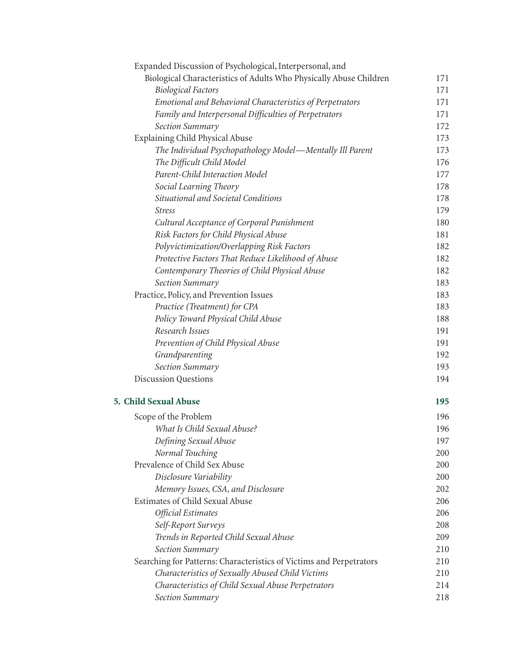| Expanded Discussion of Psychological, Interpersonal, and            |     |
|---------------------------------------------------------------------|-----|
| Biological Characteristics of Adults Who Physically Abuse Children  | 171 |
| <b>Biological Factors</b>                                           | 171 |
| Emotional and Behavioral Characteristics of Perpetrators            | 171 |
| Family and Interpersonal Difficulties of Perpetrators               | 171 |
| Section Summary                                                     | 172 |
| Explaining Child Physical Abuse                                     | 173 |
| The Individual Psychopathology Model-Mentally Ill Parent            | 173 |
| The Difficult Child Model                                           | 176 |
| Parent-Child Interaction Model                                      | 177 |
| Social Learning Theory                                              | 178 |
| Situational and Societal Conditions                                 | 178 |
| <b>Stress</b>                                                       | 179 |
| Cultural Acceptance of Corporal Punishment                          | 180 |
| Risk Factors for Child Physical Abuse                               | 181 |
| Polyvictimization/Overlapping Risk Factors                          | 182 |
| Protective Factors That Reduce Likelihood of Abuse                  | 182 |
| Contemporary Theories of Child Physical Abuse                       | 182 |
| Section Summary                                                     | 183 |
| Practice, Policy, and Prevention Issues                             | 183 |
| Practice (Treatment) for CPA                                        | 183 |
| Policy Toward Physical Child Abuse                                  | 188 |
| Research Issues                                                     | 191 |
| Prevention of Child Physical Abuse                                  | 191 |
| Grandparenting                                                      | 192 |
| Section Summary                                                     | 193 |
| <b>Discussion Questions</b>                                         | 194 |
| 5. Child Sexual Abuse                                               | 195 |
| Scope of the Problem                                                | 196 |
| What Is Child Sexual Abuse?                                         | 196 |
| Defining Sexual Abuse                                               | 197 |
| Normal Touching                                                     | 200 |
| Prevalence of Child Sex Abuse                                       | 200 |
| Disclosure Variability                                              | 200 |
| Memory Issues, CSA, and Disclosure                                  | 202 |
| Estimates of Child Sexual Abuse                                     | 206 |
| Official Estimates                                                  | 206 |
| Self-Report Surveys                                                 | 208 |
| Trends in Reported Child Sexual Abuse                               | 209 |
| Section Summary                                                     | 210 |
| Searching for Patterns: Characteristics of Victims and Perpetrators | 210 |
| Characteristics of Sexually Abused Child Victims                    | 210 |
| Characteristics of Child Sexual Abuse Perpetrators                  | 214 |
| Section Summary                                                     | 218 |
|                                                                     |     |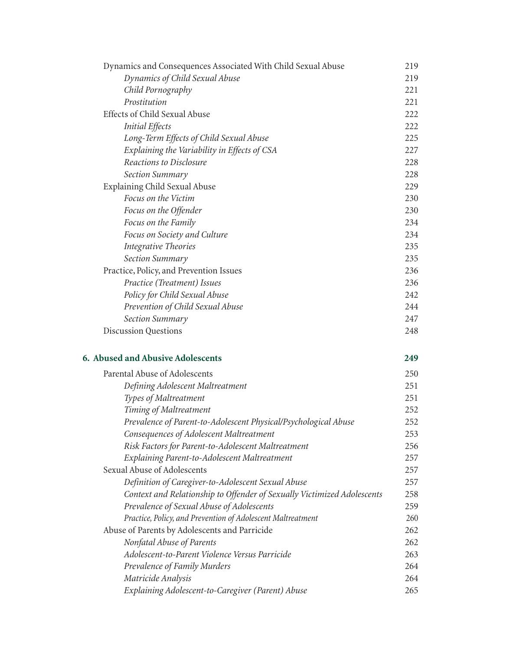| Dynamics and Consequences Associated With Child Sexual Abuse | 219  |
|--------------------------------------------------------------|------|
| Dynamics of Child Sexual Abuse                               | 219  |
| Child Pornography                                            | 221  |
| Prostitution                                                 | 221  |
| Effects of Child Sexual Abuse                                | 222  |
| <b>Initial Effects</b>                                       | 222  |
| Long-Term Effects of Child Sexual Abuse                      | 225  |
| Explaining the Variability in Effects of CSA                 | 227  |
| Reactions to Disclosure                                      | 228  |
| Section Summary                                              | 228  |
| Explaining Child Sexual Abuse                                | 229  |
| Focus on the Victim                                          | 230  |
| Focus on the Offender                                        | 230  |
| Focus on the Family                                          | 234  |
| Focus on Society and Culture                                 | 234  |
| Integrative Theories                                         | 235  |
| Section Summary                                              | 235  |
| Practice, Policy, and Prevention Issues                      | 236  |
| Practice (Treatment) Issues                                  | 236  |
| Policy for Child Sexual Abuse                                | 2.42 |
| Prevention of Child Sexual Abuse                             | 244  |
| Section Summary                                              | 247  |
| <b>Discussion Questions</b>                                  | 248  |
|                                                              |      |

## **6. Abused and Abusive Adolescents 249**

| Parental Abuse of Adolescents                                           | 250 |
|-------------------------------------------------------------------------|-----|
| Defining Adolescent Maltreatment                                        | 251 |
| Types of Maltreatment                                                   | 251 |
| Timing of Maltreatment                                                  | 252 |
| Prevalence of Parent-to-Adolescent Physical/Psychological Abuse         | 252 |
| Consequences of Adolescent Maltreatment                                 | 253 |
| Risk Factors for Parent-to-Adolescent Maltreatment                      | 256 |
| Explaining Parent-to-Adolescent Maltreatment                            | 257 |
| Sexual Abuse of Adolescents                                             | 257 |
| Definition of Caregiver-to-Adolescent Sexual Abuse                      | 257 |
| Context and Relationship to Offender of Sexually Victimized Adolescents | 258 |
| Prevalence of Sexual Abuse of Adolescents                               | 259 |
| Practice, Policy, and Prevention of Adolescent Maltreatment             | 260 |
| Abuse of Parents by Adolescents and Parricide                           | 262 |
| Nonfatal Abuse of Parents                                               | 262 |
| Adolescent-to-Parent Violence Versus Parricide                          | 263 |
| Prevalence of Family Murders                                            | 264 |
| Matricide Analysis                                                      | 264 |
| Explaining Adolescent-to-Caregiver (Parent) Abuse                       | 265 |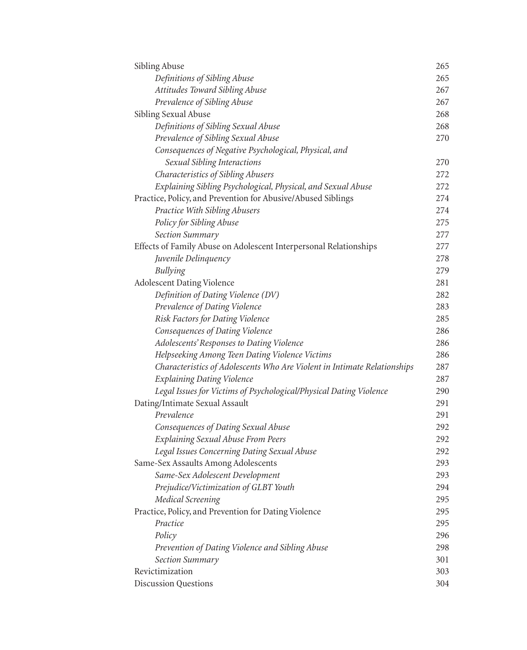| Sibling Abuse                                                            | 265 |
|--------------------------------------------------------------------------|-----|
| Definitions of Sibling Abuse                                             | 265 |
| Attitudes Toward Sibling Abuse                                           | 267 |
| Prevalence of Sibling Abuse                                              | 267 |
| Sibling Sexual Abuse                                                     | 268 |
| Definitions of Sibling Sexual Abuse                                      | 268 |
| Prevalence of Sibling Sexual Abuse                                       | 270 |
| Consequences of Negative Psychological, Physical, and                    |     |
| Sexual Sibling Interactions                                              | 270 |
| Characteristics of Sibling Abusers                                       | 272 |
| Explaining Sibling Psychological, Physical, and Sexual Abuse             | 272 |
| Practice, Policy, and Prevention for Abusive/Abused Siblings             | 274 |
| Practice With Sibling Abusers                                            | 274 |
| Policy for Sibling Abuse                                                 | 275 |
| Section Summary                                                          | 277 |
| Effects of Family Abuse on Adolescent Interpersonal Relationships        | 277 |
| Juvenile Delinquency                                                     | 278 |
| <b>Bullying</b>                                                          | 279 |
| <b>Adolescent Dating Violence</b>                                        | 281 |
| Definition of Dating Violence (DV)                                       | 282 |
| Prevalence of Dating Violence                                            | 283 |
| Risk Factors for Dating Violence                                         | 285 |
| Consequences of Dating Violence                                          | 286 |
| Adolescents' Responses to Dating Violence                                | 286 |
| Helpseeking Among Teen Dating Violence Victims                           | 286 |
| Characteristics of Adolescents Who Are Violent in Intimate Relationships | 287 |
| <b>Explaining Dating Violence</b>                                        | 287 |
| Legal Issues for Victims of Psychological/Physical Dating Violence       | 290 |
| Dating/Intimate Sexual Assault                                           | 291 |
| Prevalence                                                               | 291 |
| Consequences of Dating Sexual Abuse                                      | 292 |
| <b>Explaining Sexual Abuse From Peers</b>                                | 292 |
| Legal Issues Concerning Dating Sexual Abuse                              | 292 |
| Same-Sex Assaults Among Adolescents                                      | 293 |
| Same-Sex Adolescent Development                                          | 293 |
| Prejudice/Victimization of GLBT Youth                                    | 294 |
| <b>Medical Screening</b>                                                 | 295 |
| Practice, Policy, and Prevention for Dating Violence                     | 295 |
| Practice                                                                 | 295 |
| Policy                                                                   | 296 |
| Prevention of Dating Violence and Sibling Abuse                          | 298 |
| Section Summary                                                          | 301 |
| Revictimization                                                          | 303 |
| <b>Discussion Questions</b>                                              | 304 |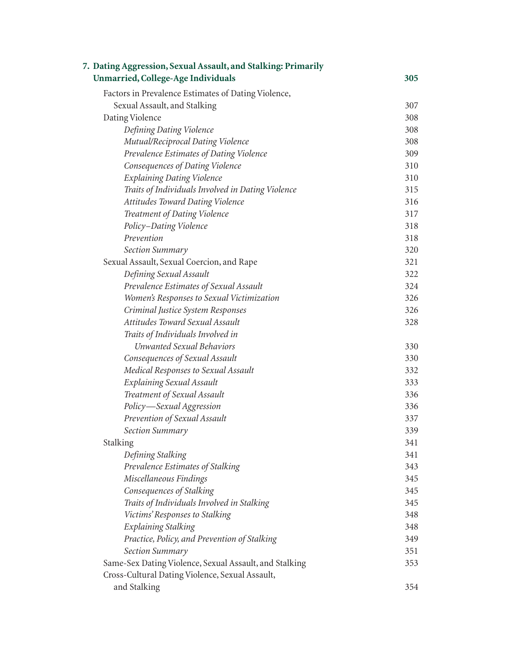| 305 |
|-----|
|     |
| 307 |
| 308 |
| 308 |
| 308 |
| 309 |
| 310 |
| 310 |
| 315 |
| 316 |
| 317 |
| 318 |
| 318 |
| 320 |
| 321 |
| 322 |
| 324 |
| 326 |
| 326 |
| 328 |
|     |
| 330 |
| 330 |
| 332 |
| 333 |
| 336 |
| 336 |
| 337 |
| 339 |
| 341 |
| 341 |
| 343 |
| 345 |
| 345 |
| 345 |
| 348 |
| 348 |
| 349 |
| 351 |
| 353 |
|     |
| 354 |
|     |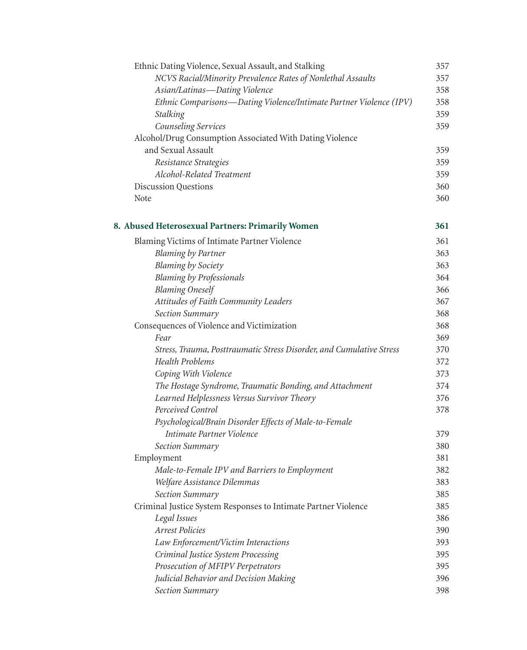| Ethnic Dating Violence, Sexual Assault, and Stalking                 | 357 |
|----------------------------------------------------------------------|-----|
| NCVS Racial/Minority Prevalence Rates of Nonlethal Assaults          | 357 |
| Asian/Latinas-Dating Violence                                        | 358 |
| Ethnic Comparisons-Dating Violence/Intimate Partner Violence (IPV)   | 358 |
| <b>Stalking</b>                                                      | 359 |
| Counseling Services                                                  | 359 |
| Alcohol/Drug Consumption Associated With Dating Violence             |     |
| and Sexual Assault                                                   | 359 |
| Resistance Strategies                                                | 359 |
| Alcohol-Related Treatment                                            | 359 |
| <b>Discussion Questions</b>                                          | 360 |
| Note                                                                 | 360 |
| 8. Abused Heterosexual Partners: Primarily Women                     | 361 |
| Blaming Victims of Intimate Partner Violence                         | 361 |
| <b>Blaming by Partner</b>                                            | 363 |
| <b>Blaming by Society</b>                                            | 363 |
| <b>Blaming by Professionals</b>                                      | 364 |
| <b>Blaming Oneself</b>                                               | 366 |
| Attitudes of Faith Community Leaders                                 | 367 |
| Section Summary                                                      | 368 |
| Consequences of Violence and Victimization                           | 368 |
| Fear                                                                 | 369 |
| Stress, Trauma, Posttraumatic Stress Disorder, and Cumulative Stress | 370 |
| <b>Health Problems</b>                                               | 372 |
| Coping With Violence                                                 | 373 |
| The Hostage Syndrome, Traumatic Bonding, and Attachment              | 374 |
| Learned Helplessness Versus Survivor Theory                          | 376 |
| Perceived Control                                                    | 378 |
| Psychological/Brain Disorder Effects of Male-to-Female               |     |
| Intimate Partner Violence                                            | 379 |
| Section Summary                                                      | 380 |
| Employment                                                           | 381 |
| Male-to-Female IPV and Barriers to Employment                        | 382 |
| Welfare Assistance Dilemmas                                          | 383 |
| Section Summary                                                      | 385 |
| Criminal Justice System Responses to Intimate Partner Violence       | 385 |
| Legal Issues                                                         | 386 |
| <b>Arrest Policies</b>                                               | 390 |
| Law Enforcement/Victim Interactions                                  | 393 |
| Criminal Justice System Processing                                   | 395 |
| Prosecution of MFIPV Perpetrators                                    | 395 |
| Judicial Behavior and Decision Making                                | 396 |
| Section Summary                                                      | 398 |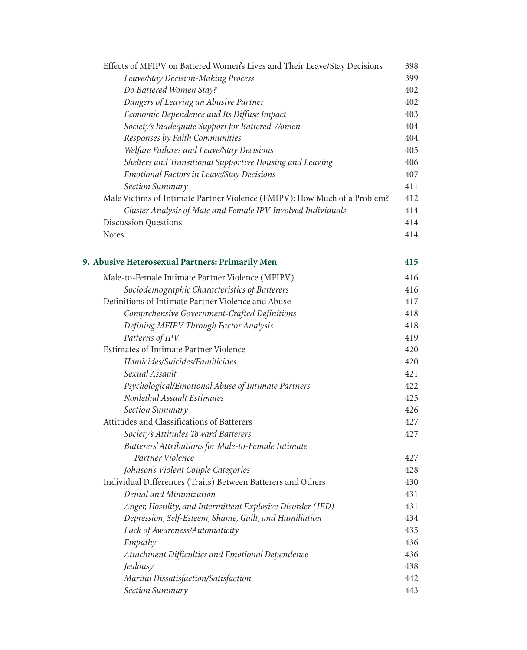| Effects of MFIPV on Battered Women's Lives and Their Leave/Stay Decisions | 398 |
|---------------------------------------------------------------------------|-----|
| Leave/Stay Decision-Making Process                                        | 399 |
| Do Battered Women Stay?                                                   | 402 |
| Dangers of Leaving an Abusive Partner                                     | 402 |
| Economic Dependence and Its Diffuse Impact                                | 403 |
| Society's Inadequate Support for Battered Women                           | 404 |
| Responses by Faith Communities                                            | 404 |
| Welfare Failures and Leave/Stay Decisions                                 | 405 |
| Shelters and Transitional Supportive Housing and Leaving                  | 406 |
| <b>Emotional Factors in Leave/Stay Decisions</b>                          | 407 |
| <b>Section Summary</b>                                                    | 411 |
| Male Victims of Intimate Partner Violence (FMIPV): How Much of a Problem? | 412 |
| Cluster Analysis of Male and Female IPV-Involved Individuals              | 414 |
| <b>Discussion Questions</b>                                               | 414 |
| <b>Notes</b>                                                              | 414 |
| 9. Abusive Heterosexual Partners: Primarily Men                           | 415 |
| Male-to-Female Intimate Partner Violence (MFIPV)                          | 416 |
| Sociodemographic Characteristics of Batterers                             | 416 |
| Definitions of Intimate Partner Violence and Abuse                        | 417 |
| Comprehensive Government-Crafted Definitions                              | 418 |
| Defining MFIPV Through Factor Analysis                                    | 418 |
| Patterns of IPV                                                           | 419 |
| Estimates of Intimate Partner Violence                                    | 420 |
| Homicides/Suicides/Familicides                                            | 420 |
| Sexual Assault                                                            | 421 |
| Psychological/Emotional Abuse of Intimate Partners                        | 422 |
| Nonlethal Assault Estimates                                               | 425 |
| Section Summary                                                           | 426 |
| Attitudes and Classifications of Batterers                                | 427 |
| Society's Attitudes Toward Batterers                                      | 427 |
| Batterers' Attributions for Male-to-Female Intimate                       |     |
| Partner Violence                                                          | 427 |
| Johnson's Violent Couple Categories                                       | 428 |
| Individual Differences (Traits) Between Batterers and Others              | 430 |
| Denial and Minimization                                                   | 431 |
| Anger, Hostility, and Intermittent Explosive Disorder (IED)               | 431 |
| Depression, Self-Esteem, Shame, Guilt, and Humiliation                    | 434 |
| Lack of Awareness/Automaticity                                            | 435 |
| Empathy                                                                   | 436 |
| Attachment Difficulties and Emotional Dependence                          | 436 |
| Jealousy                                                                  | 438 |
| Marital Dissatisfaction/Satisfaction                                      | 442 |
| Section Summary                                                           | 443 |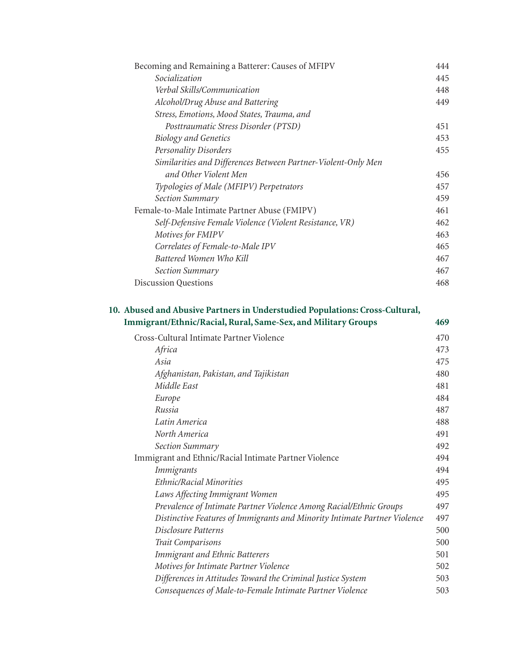| Socialization<br>445<br>Verbal Skills/Communication<br>448<br>Alcohol/Drug Abuse and Battering<br>449<br>Stress, Emotions, Mood States, Trauma, and<br>Posttraumatic Stress Disorder (PTSD)<br>451<br><b>Biology and Genetics</b><br>453<br>Personality Disorders<br>455<br>Similarities and Differences Between Partner-Violent-Only Men<br>and Other Violent Men<br>456<br>Typologies of Male (MFIPV) Perpetrators<br>459<br>Section Summary<br>Female-to-Male Intimate Partner Abuse (FMIPV)<br>461<br>Self-Defensive Female Violence (Violent Resistance, VR)<br>462<br>Motives for FMIPV<br>463<br>Correlates of Female-to-Male IPV<br>465<br>Battered Women Who Kill<br>467<br>467<br><b>Section Summary</b><br><b>Discussion Questions</b><br>468 | Becoming and Remaining a Batterer: Causes of MFIPV | 444 |
|----------------------------------------------------------------------------------------------------------------------------------------------------------------------------------------------------------------------------------------------------------------------------------------------------------------------------------------------------------------------------------------------------------------------------------------------------------------------------------------------------------------------------------------------------------------------------------------------------------------------------------------------------------------------------------------------------------------------------------------------------------|----------------------------------------------------|-----|
| 457                                                                                                                                                                                                                                                                                                                                                                                                                                                                                                                                                                                                                                                                                                                                                      |                                                    |     |
|                                                                                                                                                                                                                                                                                                                                                                                                                                                                                                                                                                                                                                                                                                                                                          |                                                    |     |
|                                                                                                                                                                                                                                                                                                                                                                                                                                                                                                                                                                                                                                                                                                                                                          |                                                    |     |
|                                                                                                                                                                                                                                                                                                                                                                                                                                                                                                                                                                                                                                                                                                                                                          |                                                    |     |
|                                                                                                                                                                                                                                                                                                                                                                                                                                                                                                                                                                                                                                                                                                                                                          |                                                    |     |
|                                                                                                                                                                                                                                                                                                                                                                                                                                                                                                                                                                                                                                                                                                                                                          |                                                    |     |
|                                                                                                                                                                                                                                                                                                                                                                                                                                                                                                                                                                                                                                                                                                                                                          |                                                    |     |
|                                                                                                                                                                                                                                                                                                                                                                                                                                                                                                                                                                                                                                                                                                                                                          |                                                    |     |
|                                                                                                                                                                                                                                                                                                                                                                                                                                                                                                                                                                                                                                                                                                                                                          |                                                    |     |
|                                                                                                                                                                                                                                                                                                                                                                                                                                                                                                                                                                                                                                                                                                                                                          |                                                    |     |
|                                                                                                                                                                                                                                                                                                                                                                                                                                                                                                                                                                                                                                                                                                                                                          |                                                    |     |
|                                                                                                                                                                                                                                                                                                                                                                                                                                                                                                                                                                                                                                                                                                                                                          |                                                    |     |
|                                                                                                                                                                                                                                                                                                                                                                                                                                                                                                                                                                                                                                                                                                                                                          |                                                    |     |
|                                                                                                                                                                                                                                                                                                                                                                                                                                                                                                                                                                                                                                                                                                                                                          |                                                    |     |
|                                                                                                                                                                                                                                                                                                                                                                                                                                                                                                                                                                                                                                                                                                                                                          |                                                    |     |
|                                                                                                                                                                                                                                                                                                                                                                                                                                                                                                                                                                                                                                                                                                                                                          |                                                    |     |
|                                                                                                                                                                                                                                                                                                                                                                                                                                                                                                                                                                                                                                                                                                                                                          |                                                    |     |
|                                                                                                                                                                                                                                                                                                                                                                                                                                                                                                                                                                                                                                                                                                                                                          |                                                    |     |

## **10. Abused and Abusive Partners in Understudied Populations: Cross-Cultural, Immigrant/Ethnic/Racial, Rural, Same-Sex, and Military Groups 469**

| Cross-Cultural Intimate Partner Violence                                  | 470 |
|---------------------------------------------------------------------------|-----|
| Africa                                                                    | 473 |
| Asia                                                                      | 475 |
| Afghanistan, Pakistan, and Tajikistan                                     | 480 |
| Middle East                                                               | 481 |
| Europe                                                                    | 484 |
| Russia                                                                    | 487 |
| Latin America                                                             | 488 |
| North America                                                             | 491 |
| Section Summary                                                           | 492 |
| Immigrant and Ethnic/Racial Intimate Partner Violence                     | 494 |
| <b>Immigrants</b>                                                         | 494 |
| Ethnic/Racial Minorities                                                  | 495 |
| Laws Affecting Immigrant Women                                            | 495 |
| Prevalence of Intimate Partner Violence Among Racial/Ethnic Groups        | 497 |
| Distinctive Features of Immigrants and Minority Intimate Partner Violence | 497 |
| Disclosure Patterns                                                       | 500 |
| Trait Comparisons                                                         | 500 |
| <b>Immigrant and Ethnic Batterers</b>                                     | 501 |
| Motives for Intimate Partner Violence                                     | 502 |
| Differences in Attitudes Toward the Criminal Justice System               | 503 |
| Consequences of Male-to-Female Intimate Partner Violence                  | 503 |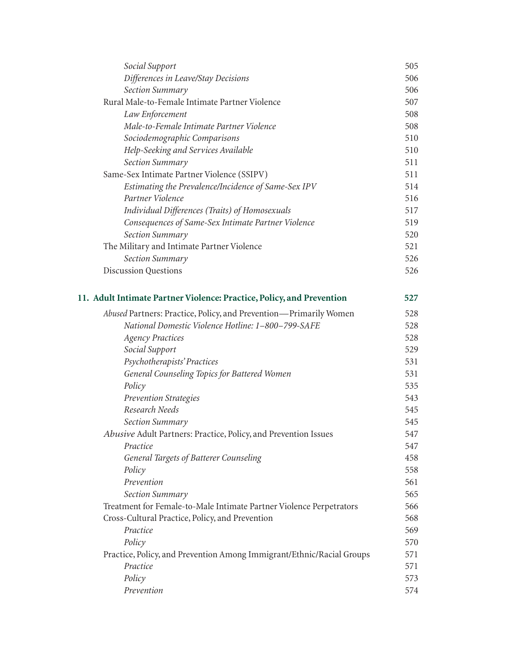| Social Support                                                        | 505 |
|-----------------------------------------------------------------------|-----|
| Differences in Leave/Stay Decisions                                   | 506 |
| Section Summary                                                       | 506 |
| Rural Male-to-Female Intimate Partner Violence                        | 507 |
| Law Enforcement                                                       | 508 |
| Male-to-Female Intimate Partner Violence                              | 508 |
| Sociodemographic Comparisons                                          | 510 |
| Help-Seeking and Services Available                                   | 510 |
| Section Summary                                                       | 511 |
| Same-Sex Intimate Partner Violence (SSIPV)                            | 511 |
| Estimating the Prevalence/Incidence of Same-Sex IPV                   | 514 |
| Partner Violence                                                      | 516 |
| Individual Differences (Traits) of Homosexuals                        | 517 |
| Consequences of Same-Sex Intimate Partner Violence                    | 519 |
| Section Summary                                                       | 520 |
| The Military and Intimate Partner Violence                            | 521 |
| Section Summary                                                       | 526 |
| Discussion Questions                                                  | 526 |
| 11. Adult Intimate Partner Violence: Practice, Policy, and Prevention | 527 |
| Abused Partners: Practice, Policy, and Prevention-Primarily Women     | 528 |
| National Domestic Violence Hotline: 1-800-799-SAFE                    | 528 |
| <b>Agency Practices</b>                                               | 528 |
| Social Support                                                        | 529 |
| Psychotherapists' Practices                                           | 531 |
| General Counseling Topics for Battered Women                          | 531 |
| Policy                                                                | 535 |
| <b>Prevention Strategies</b>                                          | 543 |
| Research Needs                                                        | 545 |
| Section Summary                                                       | 545 |
| Abusive Adult Partners: Practice, Policy, and Prevention Issues       | 547 |
| Practice                                                              | 547 |
| <b>General Targets of Batterer Counseling</b>                         | 458 |
| Policy                                                                | 558 |
| Prevention                                                            | 561 |
| Section Summary                                                       | 565 |
| Treatment for Female-to-Male Intimate Partner Violence Perpetrators   | 566 |
| Cross-Cultural Practice, Policy, and Prevention                       | 568 |
| Practice                                                              | 569 |
| Policy                                                                | 570 |
| Practice, Policy, and Prevention Among Immigrant/Ethnic/Racial Groups | 571 |
| Practice                                                              | 571 |
| Policy                                                                | 573 |
| Prevention                                                            | 574 |
|                                                                       |     |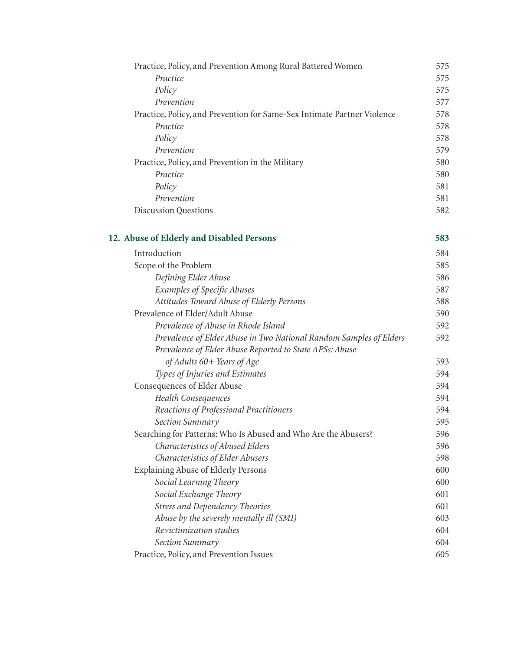| 575 |
|-----|
| 575 |
| 575 |
| 577 |
| 578 |
| 578 |
| 578 |
| 579 |
| 580 |
| 580 |
| 581 |
| 581 |
| 582 |
| 583 |
| 584 |
| 585 |
| 586 |
| 587 |
| 588 |
| 590 |
| 592 |
| 592 |
|     |
| 593 |
| 594 |
| 594 |
| 594 |
| 594 |
| 595 |
| 596 |
| 596 |
| 598 |
| 600 |
| 600 |
| 601 |
| 601 |
| 603 |
| 604 |
| 604 |
| 605 |
|     |